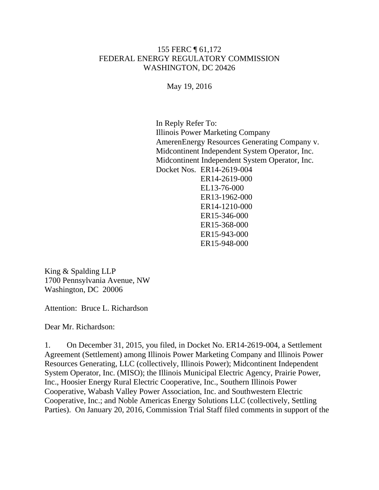## 155 FERC ¶ 61,172 FEDERAL ENERGY REGULATORY COMMISSION WASHINGTON, DC 20426

May 19, 2016

In Reply Refer To: Illinois Power Marketing Company AmerenEnergy Resources Generating Company v. Midcontinent Independent System Operator, Inc. Midcontinent Independent System Operator, Inc. Docket Nos. ER14-2619-004 ER14-2619-000 EL13-76-000 ER13-1962-000 ER14-1210-000 ER15-346-000 ER15-368-000 ER15-943-000 ER15-948-000

King & Spalding LLP 1700 Pennsylvania Avenue, NW Washington, DC 20006

Attention: Bruce L. Richardson

Dear Mr. Richardson:

1. On December 31, 2015, you filed, in Docket No. ER14-2619-004, a Settlement Agreement (Settlement) among Illinois Power Marketing Company and Illinois Power Resources Generating, LLC (collectively, Illinois Power); Midcontinent Independent System Operator, Inc. (MISO); the Illinois Municipal Electric Agency, Prairie Power, Inc., Hoosier Energy Rural Electric Cooperative, Inc., Southern Illinois Power Cooperative, Wabash Valley Power Association, Inc. and Southwestern Electric Cooperative, Inc.; and Noble Americas Energy Solutions LLC (collectively, Settling Parties). On January 20, 2016, Commission Trial Staff filed comments in support of the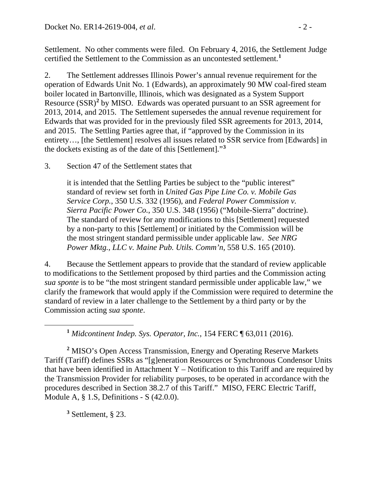Settlement. No other comments were filed. On February 4, 2016, the Settlement Judge certified the Settlement to the Commission as an uncontested settlement.**[1](#page-1-0)**

2. The Settlement addresses Illinois Power's annual revenue requirement for the operation of Edwards Unit No. 1 (Edwards), an approximately 90 MW coal-fired steam boiler located in Bartonville, Illinois, which was designated as a System Support Resource (SSR)**[2](#page-1-1)** by MISO. Edwards was operated pursuant to an SSR agreement for 2013, 2014, and 2015. The Settlement supersedes the annual revenue requirement for Edwards that was provided for in the previously filed SSR agreements for 2013, 2014, and 2015. The Settling Parties agree that, if "approved by the Commission in its entirety…, [the Settlement] resolves all issues related to SSR service from [Edwards] in the dockets existing as of the date of this [Settlement]."**[3](#page-1-2)**

3. Section 47 of the Settlement states that

it is intended that the Settling Parties be subject to the "public interest" standard of review set forth in *United Gas Pipe Line Co. v. Mobile Gas Service Corp.*, 350 U.S. 332 (1956), and *Federal Power Commission v. Sierra Pacific Power Co.*, 350 U.S. 348 (1956) ("Mobile-Sierra" doctrine). The standard of review for any modifications to this [Settlement] requested by a non-party to this [Settlement] or initiated by the Commission will be the most stringent standard permissible under applicable law. *See NRG Power Mktg., LLC v. Maine Pub. Utils. Comm'n*, 558 U.S. 165 (2010).

4. Because the Settlement appears to provide that the standard of review applicable to modifications to the Settlement proposed by third parties and the Commission acting *sua sponte* is to be "the most stringent standard permissible under applicable law," we clarify the framework that would apply if the Commission were required to determine the standard of review in a later challenge to the Settlement by a third party or by the Commission acting *sua sponte*.

**<sup>1</sup>** *Midcontinent Indep. Sys. Operator, Inc.*, 154 FERC ¶ 63,011 (2016).

<span id="page-1-1"></span>**<sup>2</sup>** MISO's Open Access Transmission, Energy and Operating Reserve Markets Tariff (Tariff) defines SSRs as "[g]eneration Resources or Synchronous Condensor Units that have been identified in Attachment  $Y$  – Notification to this Tariff and are required by the Transmission Provider for reliability purposes, to be operated in accordance with the procedures described in Section 38.2.7 of this Tariff." MISO, FERC Electric Tariff, Module A, § 1.S, Definitions - S (42.0.0).

<span id="page-1-2"></span>**<sup>3</sup>** Settlement, § 23.

<span id="page-1-0"></span> $\overline{a}$